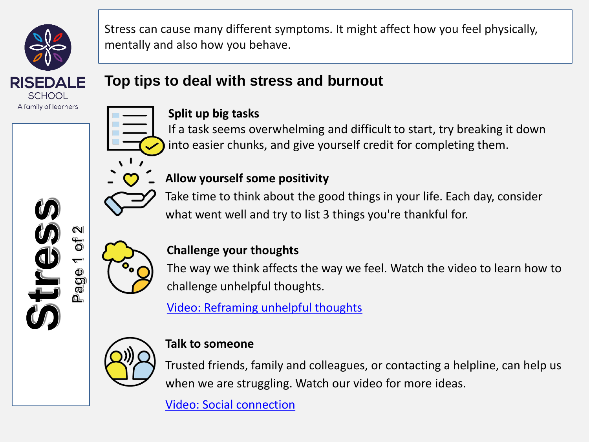

Stress can cause many different symptoms. It might affect how you feel physically, mentally and also how you behave.

# **Top tips to deal with stress and burnout**



### **Split up big tasks**

If a task seems overwhelming and difficult to start, try breaking it down into easier chunks, and give yourself credit for completing them.



## **Allow yourself some positivity**

Take time to think about the good things in your life. Each day, consider what went well and try to list 3 things you're thankful for.



 $\mathbb N$ id<br>O

Page

### **Challenge your thoughts**

The way we think affects the way we feel. Watch the video to learn how to challenge unhelpful thoughts.

[Video: Reframing unhelpful thoughts](https://bcove.video/2mmEsTx)



#### **Talk to someone**

Trusted friends, family and colleagues, or contacting a helpline, can help us when we are struggling. Watch our video for more ideas.

[Video: Social connection](https://bcove.video/2lDmMma)